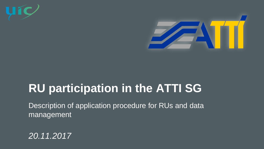



# **RU participation in the ATTI SG**

Description of application procedure for RUs and data management

*20.11.2017*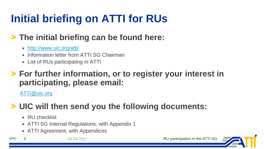# **Initial briefing on ATTI for RUs**

## > **The initial briefing can be found here:**

- <http://www.uic.org/atti/>
- Information letter from ATTI SG Chairman
- List of RUs participating in ATTI

### > **For further information, or to register your interest in participating, please email:**

[ATTI@uic.org](mailto:ATTI@uic.org)

## > **UIC will then send you the following documents:**

- RU checklist
- ATTI SG Internal Regulations, with Appendix 1
- ATTI Agreement, with Appendices

 $\mathbf{U}$ í $\mathbf{C}$ 

2 04.09.2017 RU participation in the ATTI SG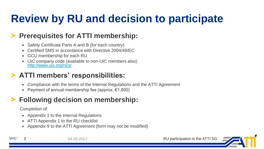# **Review by RU and decision to participate**

#### > **Prerequisites for ATTI membership:**

- Safety Certificate Parts A and B (for each country)
- Certified SMS in accordance with Directive 2004/49/EC
- GCU membership for each RU
- UIC company code (available to non-UIC members also) <http://www.uic.org/rics/>

### > **ATTI members' responsibilities:**

- Compliance with the terms of the Internal Regulations and the ATTI Agreement
- Payment of annual membership fee (approx.  $\epsilon$ 1,800)

#### > **Following decision on membership:**

Completion of:

- Appendix 1 to the Internal Regulations
- ATTI Appendix 1 to the RU checklist
- Appendix 9 to the ATTI Agreement (form may not be modified)

**u**ic

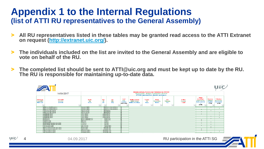### **Appendix 1 to the Internal Regulations (list of ATTI RU representatives to the General Assembly)**

uic

- > **All RU representatives listed in these tables may be granted read access to the ATTI Extranet on request [\(http://extranet.uic.org/](http://extranet.uic.org/)).**
- > **The individuals included on the list are invited to the General Assembly and are eligible to vote on behalf of the RU.**
- > **The completed list should be sent to ATTI@uic.org and must be kept up to date by the RU. The RU is responsible for maintaining up-to-date data.**

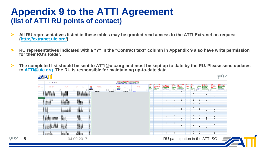### **Appendix 9 to the ATTI Agreement (list of ATTI RU points of contact)**

uíc

- > **All RU representatives listed in these tables may be granted read access to the ATTI Extranet on request [\(http://extranet.uic.org/\)](http://extranet.uic.org/).**
- > **RU representatives indicated with a "Y" in the "Contract text" column in Appendix 9 also have write permission for their RU's folder.**
- > **The completed list should be sent to ATTI@uic.org and must be kept up to date by the RU. Please send updates to [ATTI@uic.org.](mailto:ATTI@uic.org) The RU is responsible for maintaining up-to-date data.**

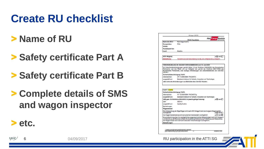# **Create RU checklist**

- > **Name of RU**
- > **Safety certificate Part A**
- > **Safety certificate Part B**
- > **Complete details of SMS and wagon inspector**

|                                  | Anlage 1 ATTI                                                                                                                                                                                                                                                                |
|----------------------------------|------------------------------------------------------------------------------------------------------------------------------------------------------------------------------------------------------------------------------------------------------------------------------|
|                                  | <b>Rail Cargo Austri</b><br><b>RCA Checkliste</b><br><b>Rail Carteo Group</b>                                                                                                                                                                                                |
| Name des EVU:                    | Rail Cargo Austria                                                                                                                                                                                                                                                           |
| Kurzzeichen:                     | <b>RCA</b>                                                                                                                                                                                                                                                                   |
| Straße:                          |                                                                                                                                                                                                                                                                              |
| Postleitzahl/ Ort:               |                                                                                                                                                                                                                                                                              |
| Land:                            | Austria                                                                                                                                                                                                                                                                      |
|                                  |                                                                                                                                                                                                                                                                              |
| <b>AVV</b> Mitalied:             | ja X nein                                                                                                                                                                                                                                                                    |
| Bemerkung:                       | Teilnahme an der Vereinbarung nur als AVV- Mitglied (EVU) möglich!                                                                                                                                                                                                           |
|                                  |                                                                                                                                                                                                                                                                              |
|                                  | VERORDNUNG (EG) Nr. 653/2007 DER KOMMISSION vom 13. Juni 2007                                                                                                                                                                                                                |
| Ländern.                         | für Sicherheitsbescheinigungen gemäß Artikel 10 der Richtlinie 2004/49/EG des Europäischen<br>Parlaments und des Rates und zur Gültigkeit von gemäß der Richtlinie 2001/14/EG des<br>Europäischen Parlaments, oder analoge Anforderungen von Aufsichtsbehörden der nicht EU- |
| Sicherheitsbescheinigung Teil A: |                                                                                                                                                                                                                                                                              |
| Aktenzeichen:                    | AT 11 2009 0004 / FN 248731                                                                                                                                                                                                                                                  |
| ausgestellt von:                 | Bundesministerium für Verkehr, Innovation und Technologie                                                                                                                                                                                                                    |
|                                  | oder nationale Anforderungen von Behörden der nicht EU-Staaten:                                                                                                                                                                                                              |
|                                  |                                                                                                                                                                                                                                                                              |
| <b>Land 1: Austria</b>           |                                                                                                                                                                                                                                                                              |
| Sicherheitsbescheinigung Teil B: |                                                                                                                                                                                                                                                                              |
| Aktenzeichen:                    | AT 12 2009 0004 / FN 248731a                                                                                                                                                                                                                                                 |
| ausgestellt von:                 | Bundesministerium für Verkehr, Innovation und Technologie                                                                                                                                                                                                                    |
|                                  | ja ⊠ nein □<br>SMS gem. EU-Richtlinie 2004/49/EG in jeweils gültige Fassung:                                                                                                                                                                                                 |
| <b>Zahl-</b>                     | 00014/1                                                                                                                                                                                                                                                                      |
| ausgestellt von:                 | Quality Austria                                                                                                                                                                                                                                                              |
| Bemerkungen:                     |                                                                                                                                                                                                                                                                              |
| Wagenmeister                     |                                                                                                                                                                                                                                                                              |

Die Untersuchung der Züge/Wagen wird nach AVV Anlage 9 wird durch eigene Wagenmeister durchgeführt ja ⊠ nein □ ja □ nein ⊠ Die Wagenmeisterleistung wird von externen Dienstleistern durchgeführt Eine Aufzeichnung über die durchgeführten wagentechnischen Behandlungen nach AVV Anlage 9 und Erprobung der Bremsen erfolgt. Die Ausbildung/Unterweisung/ Fortbildung und Überprüfung der Wagenmeister wird nach den nationalen Vorschreibungen durchgeführt.

") haken Sie bitte das entsprechende Kästche RCA CHECKLISTE A1, ATTI 2014-09-24 DOCX



6 04/09/2017 RU participation in the ATTI SG

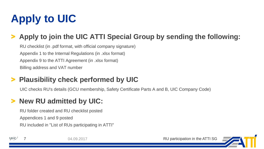# **Apply to UIC**

### > **Apply to join the UIC ATTI Special Group by sending the following:**

RU checklist (in .pdf format, with official company signature) Appendix 1 to the Internal Regulations (in .xlsx format) Appendix 9 to the ATTI Agreement (in .xlsx format) Billing address and VAT number

#### > **Plausibility check performed by UIC**

UIC checks RU's details (GCU membership, Safety Certificate Parts A and B, UIC Company Code)

### > **New RU admitted by UIC:**

RU folder created and RU checklist posted Appendices 1 and 9 posted RU included in "List of RUs participating in ATTI"

uíc

04.09.2017 CHARGE RU participation in the ATTI SG